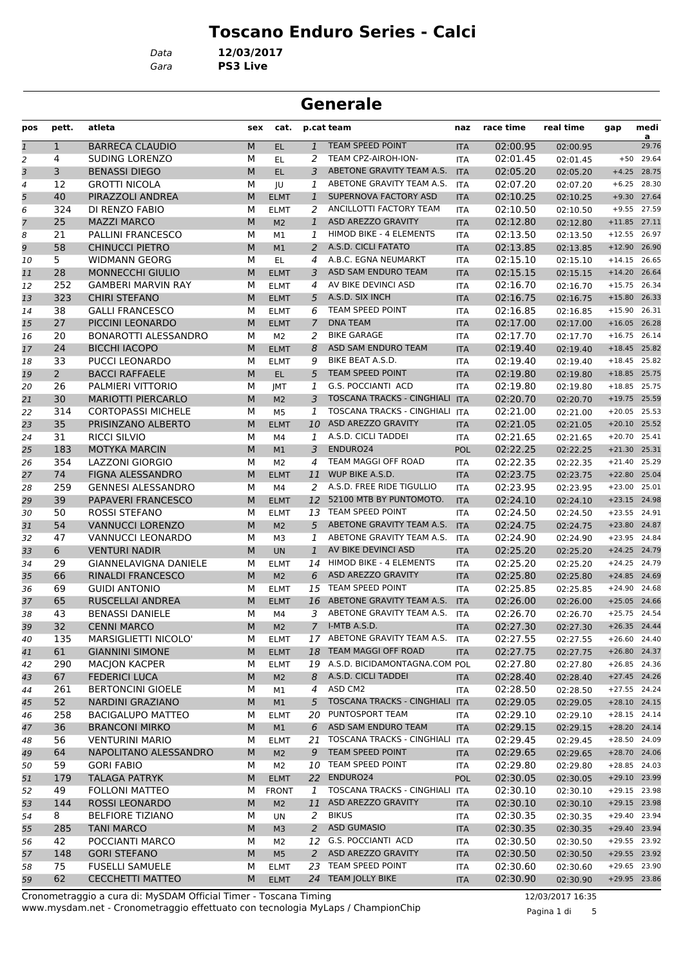## **Toscano Enduro Series - Calci**

*Gara* **PS3 Live** *Data* **12/03/2017**

#### **Generale**

| pos           | pett.          | atleta                       | sex | cat.           |                | p.cat team                       | naz        | race time | real time | gap            | medi<br>a     |
|---------------|----------------|------------------------------|-----|----------------|----------------|----------------------------------|------------|-----------|-----------|----------------|---------------|
| $\mathfrak 1$ | 1              | <b>BARRECA CLAUDIO</b>       | M   | EL.            | $\mathbf{1}$   | TEAM SPEED POINT                 | <b>ITA</b> | 02:00.95  | 02:00.95  |                | 29.76         |
| 2             | 4              | SUDING LORENZO               | М   | EL             | 2              | TEAM CPZ-AIROH-ION-              | <b>ITA</b> | 02:01.45  | 02:01.45  |                | $+50$ 29.64   |
| 3             | 3              | <b>BENASSI DIEGO</b>         | M   | EL.            | 3              | ABETONE GRAVITY TEAM A.S.        | <b>ITA</b> | 02:05.20  | 02:05.20  |                | $+4.25$ 28.75 |
| 4             | 12             | <b>GROTTI NICOLA</b>         | М   | JU             | 1              | ABETONE GRAVITY TEAM A.S.        | <b>ITA</b> | 02:07.20  | 02:07.20  |                | $+6.25$ 28.30 |
| 5             | 40             | PIRAZZOLI ANDREA             | М   | <b>ELMT</b>    | $\mathbf{1}$   | SUPERNOVA FACTORY ASD            | <b>ITA</b> | 02:10.25  | 02:10.25  |                | $+9.30$ 27.64 |
| 6             | 324            | DI RENZO FABIO               | М   | <b>ELMT</b>    | 2              | ANCILLOTTI FACTORY TEAM          | <b>ITA</b> | 02:10.50  | 02:10.50  |                | $+9.55$ 27.59 |
| 7             | 25             | <b>MAZZI MARCO</b>           | M   | M <sub>2</sub> | $\mathbf{1}$   | ASD AREZZO GRAVITY               | <b>ITA</b> | 02:12.80  | 02:12.80  | $+11.85$ 27.11 |               |
| 8             | 21             | <b>PALLINI FRANCESCO</b>     | М   | M1             | 1              | HIMOD BIKE - 4 ELEMENTS          | <b>ITA</b> | 02:13.50  | 02:13.50  | $+12.55$ 26.97 |               |
| 9             | 58             | <b>CHINUCCI PIETRO</b>       | M   | M1             | $\overline{a}$ | A.S.D. CICLI FATATO              | <b>ITA</b> | 02:13.85  | 02:13.85  | $+12.90$ 26.90 |               |
| 10            | 5              | <b>WIDMANN GEORG</b>         | М   | EL.            | 4              | A.B.C. EGNA NEUMARKT             | <b>ITA</b> | 02:15.10  | 02:15.10  | $+14.15$ 26.65 |               |
| 11            | 28             | <b>MONNECCHI GIULIO</b>      | М   | <b>ELMT</b>    | 3              | ASD SAM ENDURO TEAM              | <b>ITA</b> | 02:15.15  | 02:15.15  | $+14.20$       | 26.64         |
| 12            | 252            | <b>GAMBERI MARVIN RAY</b>    | М   | <b>ELMT</b>    | 4              | AV BIKE DEVINCI ASD              | <b>ITA</b> | 02:16.70  | 02:16.70  | $+15.75$ 26.34 |               |
| 13            | 323            | <b>CHIRI STEFANO</b>         | M   | <b>ELMT</b>    | 5              | A.S.D. SIX INCH                  | <b>ITA</b> | 02:16.75  | 02:16.75  | $+15.80$ 26.33 |               |
| 14            | 38             | <b>GALLI FRANCESCO</b>       | м   | <b>ELMT</b>    | 6              | TEAM SPEED POINT                 | <b>ITA</b> | 02:16.85  | 02:16.85  | $+15.90$       | 26.31         |
| 15            | 27             | PICCINI LEONARDO             | M   | <b>ELMT</b>    | $\overline{7}$ | <b>DNA TEAM</b>                  | <b>ITA</b> | 02:17.00  | 02:17.00  | $+16.05$ 26.28 |               |
| 16            | 20             | <b>BONAROTTI ALESSANDRO</b>  | М   | M <sub>2</sub> | 2              | <b>BIKE GARAGE</b>               | <b>ITA</b> | 02:17.70  | 02:17.70  | $+16.75$ 26.14 |               |
| 17            | 24             | <b>BICCHI IACOPO</b>         | М   | <b>ELMT</b>    | 8              | ASD SAM ENDURO TEAM              | <b>ITA</b> | 02:19.40  | 02:19.40  | $+18.45$ 25.82 |               |
| 18            | 33             | <b>PUCCI LEONARDO</b>        | М   | <b>ELMT</b>    | 9              | BIKE BEAT A.S.D.                 | <b>ITA</b> | 02:19.40  | 02:19.40  | $+18.45$ 25.82 |               |
| 19            | $\overline{2}$ | <b>BACCI RAFFAELE</b>        | M   | EL.            | 5              | <b>TEAM SPEED POINT</b>          | <b>ITA</b> | 02:19.80  | 02:19.80  | $+18.85$ 25.75 |               |
| 20            | 26             | PALMIERI VITTORIO            | М   | <b>IMT</b>     | 1              | <b>G.S. POCCIANTI ACD</b>        | <b>ITA</b> | 02:19.80  | 02:19.80  | $+18.85$ 25.75 |               |
| 21            | 30             | <b>MARIOTTI PIERCARLO</b>    | M   | M <sub>2</sub> | 3              | TOSCANA TRACKS - CINGHIALI ITA   |            | 02:20.70  | 02:20.70  | $+19.75$ 25.59 |               |
| 22            | 314            | <b>CORTOPASSI MICHELE</b>    | М   | M <sub>5</sub> | 1              | TOSCANA TRACKS - CINGHIALI ITA   |            | 02:21.00  | 02:21.00  | $+20.05$ 25.53 |               |
| 23            | 35             | PRISINZANO ALBERTO           | М   | <b>ELMT</b>    | 10             | ASD AREZZO GRAVITY               | <b>ITA</b> | 02:21.05  | 02:21.05  | $+20.10$ 25.52 |               |
| 24            | 31             | <b>RICCI SILVIO</b>          | М   | M4             | 1              | A.S.D. CICLI TADDEI              | <b>ITA</b> | 02:21.65  | 02:21.65  | $+20.70$ 25.41 |               |
| 25            | 183            | <b>MOTYKA MARCIN</b>         | M   | M1             | 3              | ENDURO24                         | <b>POL</b> | 02:22.25  | 02:22.25  | $+21.30$ 25.31 |               |
| 26            | 354            | LAZZONI GIORGIO              | М   | M <sub>2</sub> | 4              | TEAM MAGGI OFF ROAD              | <b>ITA</b> | 02:22.35  | 02:22.35  | $+21.40$       | 25.29         |
| 27            | 74             | FIGNA ALESSANDRO             | M   | <b>ELMT</b>    |                | 11 WUP BIKE A.S.D.               | <b>ITA</b> | 02:23.75  | 02:23.75  | +22.80 25.04   |               |
| 28            | 259            | <b>GENNESI ALESSANDRO</b>    | М   | M4             | 2              | A.S.D. FREE RIDE TIGULLIO        | ITA        | 02:23.95  | 02:23.95  | $+23.00$ 25.01 |               |
| 29            | 39             | PAPAVERI FRANCESCO           | М   | <b>ELMT</b>    |                | 12 52100 MTB BY PUNTOMOTO.       | <b>ITA</b> | 02:24.10  | 02:24.10  | $+23.15$ 24.98 |               |
| 30            | 50             | ROSSI STEFANO                | М   | <b>ELMT</b>    |                | 13 TEAM SPEED POINT              | <b>ITA</b> | 02:24.50  | 02:24.50  | +23.55 24.91   |               |
| 31            | 54             | <b>VANNUCCI LORENZO</b>      | M   | M <sub>2</sub> | 5              | ABETONE GRAVITY TEAM A.S.        | <b>ITA</b> | 02:24.75  | 02:24.75  | +23.80 24.87   |               |
| 32            | 47             | VANNUCCI LEONARDO            | М   | M3             | 1              | ABETONE GRAVITY TEAM A.S.        | <b>ITA</b> | 02:24.90  | 02:24.90  | +23.95 24.84   |               |
| 33            | 6              | <b>VENTURI NADIR</b>         | M   | <b>UN</b>      | $\mathbf{1}$   | AV BIKE DEVINCI ASD              | <b>ITA</b> | 02:25.20  | 02:25.20  | $+24.25$ 24.79 |               |
| 34            | 29             | <b>GIANNELAVIGNA DANIELE</b> | М   | <b>ELMT</b>    | 14             | <b>HIMOD BIKE - 4 ELEMENTS</b>   | ITA        | 02:25.20  | 02:25.20  | $+24.25$ 24.79 |               |
| 35            | 66             | <b>RINALDI FRANCESCO</b>     | M   | M <sub>2</sub> | 6              | ASD AREZZO GRAVITY               | <b>ITA</b> | 02:25.80  | 02:25.80  | $+24.85$ 24.69 |               |
| 36            | 69             | <b>GUIDI ANTONIO</b>         | М   | <b>ELMT</b>    | 15             | <b>TEAM SPEED POINT</b>          | <b>ITA</b> | 02:25.85  | 02:25.85  | +24.90 24.68   |               |
| 37            | 65             | RUSCELLAI ANDREA             | M   | <b>ELMT</b>    |                | 16 ABETONE GRAVITY TEAM A.S.     | <b>ITA</b> | 02:26.00  | 02:26.00  | $+25.05$ 24.66 |               |
| 38            | 43             | <b>BENASSI DANIELE</b>       | М   | M4             | 3              | ABETONE GRAVITY TEAM A.S.        | <b>ITA</b> | 02:26.70  | 02:26.70  | +25.75 24.54   |               |
| 39            | 32             | <b>CENNI MARCO</b>           | M   | M <sub>2</sub> | $\overline{7}$ | I-MTB A.S.D.                     | <b>ITA</b> | 02:27.30  | 02:27.30  | $+26.35$ 24.44 |               |
| 40            | 135            | MARSIGLIETTI NICOLO'         | м   | <b>ELMT</b>    |                | 17 ABETONE GRAVITY TEAM A.S.     | ITA        | 02:27.55  | 02:27.55  | $+26.60$ 24.40 |               |
| 41            | 61             | <b>GIANNINI SIMONE</b>       | M   | <b>ELMT</b>    | 18             | TEAM MAGGI OFF ROAD              | <b>ITA</b> | 02:27.75  | 02:27.75  | +26.80 24.37   |               |
| 42            | 290            | <b>MACJON KACPER</b>         | М   | <b>ELMT</b>    |                | 19 A.S.D. BICIDAMONTAGNA.COM POL |            | 02:27.80  | 02:27.80  | $+26.85$ 24.36 |               |
| 43            | 67             | <b>FEDERICI LUCA</b>         | М   | M <sub>2</sub> | 8              | A.S.D. CICLI TADDEI              | <b>ITA</b> | 02:28.40  | 02:28.40  | $+27.45$ 24.26 |               |
| 44            | 261            | <b>BERTONCINI GIOELE</b>     | М   | M1             | 4              | ASD CM2                          | <b>ITA</b> | 02:28.50  | 02:28.50  | $+27.55$ 24.24 |               |
| 45            | 52             | NARDINI GRAZIANO             | M   | M1             | 5 <sup>1</sup> | TOSCANA TRACKS - CINGHIALI ITA   |            | 02:29.05  | 02:29.05  | +28.10 24.15   |               |
| 46            | 258            | <b>BACIGALUPO MATTEO</b>     | м   | <b>ELMT</b>    | 20             | PUNTOSPORT TEAM                  | ITA        | 02:29.10  | 02:29.10  | $+28.15$ 24.14 |               |
| 47            | 36             | <b>BRANCONI MIRKO</b>        | М   | M1             | 6              | ASD SAM ENDURO TEAM              | <b>ITA</b> | 02:29.15  | 02:29.15  | +28.20 24.14   |               |
| 48            | 56             | <b>VENTURINI MARIO</b>       | м   | <b>ELMT</b>    | 21             | TOSCANA TRACKS - CINGHIALI       | ITA        | 02:29.45  | 02:29.45  | +28.50 24.09   |               |
| 49            | 64             | NAPOLITANO ALESSANDRO        | М   | M <sub>2</sub> | 9              | TEAM SPEED POINT                 | <b>ITA</b> | 02:29.65  | 02:29.65  | +28.70 24.06   |               |
| 50            | 59             | <b>GORI FABIO</b>            | м   | M2             |                | 10 TEAM SPEED POINT              | ITA        | 02:29.80  | 02:29.80  | +28.85 24.03   |               |
| 51            | 179            | <b>TALAGA PATRYK</b>         | M   | <b>ELMT</b>    |                | 22 ENDURO24                      | <b>POL</b> | 02:30.05  | 02:30.05  | +29.10 23.99   |               |
| 52            | 49             | <b>FOLLONI MATTEO</b>        | м   | <b>FRONT</b>   | 1              | TOSCANA TRACKS - CINGHIALI ITA   |            | 02:30.10  | 02:30.10  | +29.15 23.98   |               |
| 53            | 144            | ROSSI LEONARDO               | M   | M <sub>2</sub> | 11             | ASD AREZZO GRAVITY               | <b>ITA</b> | 02:30.10  | 02:30.10  | +29.15 23.98   |               |
| 54            | 8              | <b>BELFIORE TIZIANO</b>      | м   | UN             | 2              | <b>BIKUS</b>                     | ITA        | 02:30.35  | 02:30.35  | +29.40 23.94   |               |
| 55            | 285            | <b>TANI MARCO</b>            | M   | M <sub>3</sub> | $\overline{a}$ | <b>ASD GUMASIO</b>               | <b>ITA</b> | 02:30.35  | 02:30.35  | +29.40 23.94   |               |
| 56            | 42             | POCCIANTI MARCO              | м   | M <sub>2</sub> |                | 12 G.S. POCCIANTI ACD            | ITA        | 02:30.50  | 02:30.50  | +29.55 23.92   |               |
| 57            | 148            | <b>GORI STEFANO</b>          | M   | M <sub>5</sub> | 2              | ASD AREZZO GRAVITY               | <b>ITA</b> | 02:30.50  | 02:30.50  | +29.55 23.92   |               |
| 58            | 75             | <b>FUSELLI SAMUELE</b>       | М   | <b>ELMT</b>    | 23             | TEAM SPEED POINT                 | ITA        | 02:30.60  | 02:30.60  | +29.65 23.90   |               |
| 59            | 62             | <b>CECCHETTI MATTEO</b>      | M   | <b>ELMT</b>    |                | 24 TEAM JOLLY BIKE               | <b>ITA</b> | 02:30.90  | 02:30.90  | +29.95 23.86   |               |

www.mysdam.net - Cronometraggio effettuato con tecnologia MyLaps / ChampionChip Cronometraggio a cura di: MySDAM Official Timer - Toscana Timing 12/03/2017 16:35

Pagina 1 di 5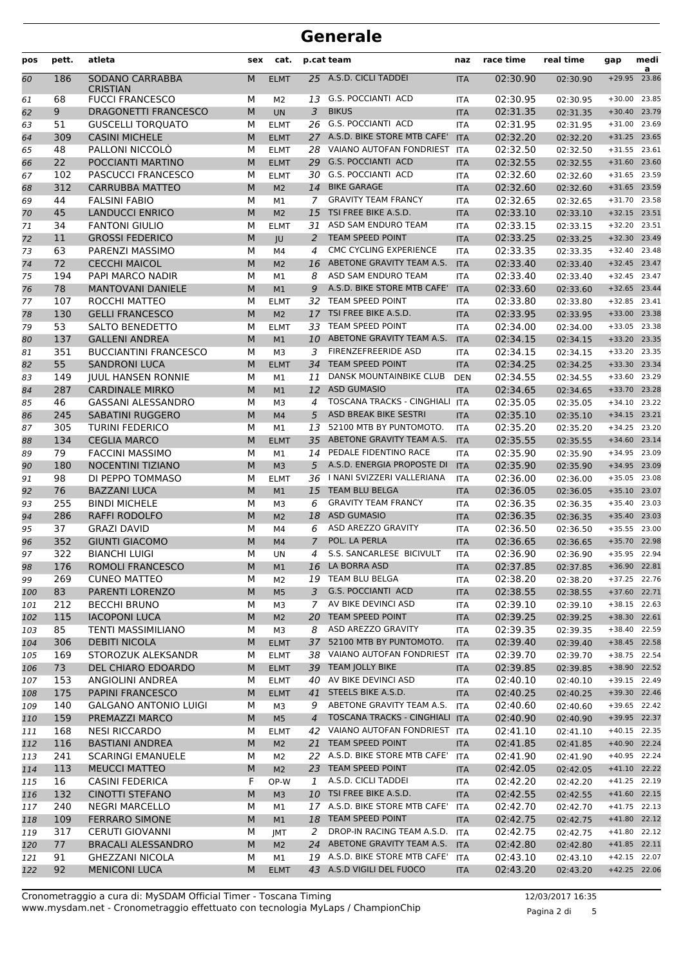| pos        | pett.      | atleta                                           | sex    | cat.                 |                | p.cat team                                        | naz                      | race time            | real time            | gap                      | medi<br>a      |
|------------|------------|--------------------------------------------------|--------|----------------------|----------------|---------------------------------------------------|--------------------------|----------------------|----------------------|--------------------------|----------------|
| 60         | 186        | SODANO CARRABBA<br><b>CRISTIAN</b>               | M      | <b>ELMT</b>          |                | 25 A.S.D. CICLI TADDEI                            | <b>ITA</b>               | 02:30.90             | 02:30.90             | $+29.95$                 | 23.86          |
| 61         | 68         | <b>FUCCI FRANCESCO</b>                           | M      | M <sub>2</sub>       | 13             | <b>G.S. POCCIANTI ACD</b>                         | <b>ITA</b>               | 02:30.95             | 02:30.95             | $+30.00$                 | 23.85          |
| 62         | 9          | DRAGONETTI FRANCESCO                             | M      | <b>UN</b>            | $\overline{3}$ | <b>BIKUS</b>                                      | <b>ITA</b>               | 02:31.35             | 02:31.35             | $+30.40$                 | 23.79          |
| 63         | 51         | <b>GUSCELLI TORQUATO</b>                         | М      | <b>ELMT</b>          | 26             | <b>G.S. POCCIANTI ACD</b>                         | <b>ITA</b>               | 02:31.95             | 02:31.95             | $+31.00$                 | 23.69          |
| 64         | 309        | <b>CASINI MICHELE</b>                            | M      | <b>ELMT</b>          |                | 27 A.S.D. BIKE STORE MTB CAFE'                    | <b>ITA</b>               | 02:32.20             | 02:32.20             | $+31.25$                 | 23.65          |
| 65         | 48         | PALLONI NICCOLÒ                                  | M      | <b>ELMT</b>          | 28             | VAIANO AUTOFAN FONDRIEST                          | <b>ITA</b>               | 02:32.50             | 02:32.50             | $+31.55$                 | 23.61          |
| 66         | 22         | POCCIANTI MARTINO                                | M      | <b>ELMT</b>          | 29             | <b>G.S. POCCIANTI ACD</b>                         | <b>ITA</b>               | 02:32.55             | 02:32.55             | $+31.60$                 | 23.60          |
| 67         | 102        | PASCUCCI FRANCESCO                               | M      | <b>ELMT</b>          | 30             | <b>G.S. POCCIANTI ACD</b>                         | <b>ITA</b>               | 02:32.60             | 02:32.60             | $+31.65$                 | 23.59          |
| 68         | 312        | <b>CARRUBBA MATTEO</b>                           | M      | M <sub>2</sub>       | 14             | <b>BIKE GARAGE</b>                                | <b>ITA</b>               | 02:32.60             | 02:32.60             | $+31.65$                 | 23.59          |
| 69         | 44         | <b>FALSINI FABIO</b>                             | М      | M1                   | 7              | <b>GRAVITY TEAM FRANCY</b>                        | <b>ITA</b>               | 02:32.65             | 02:32.65             | $+31.70$                 | 23.58          |
| 70         | 45         | <b>LANDUCCI ENRICO</b>                           | M      | M <sub>2</sub>       | 15             | TSI FREE BIKE A.S.D.                              | <b>ITA</b>               | 02:33.10             | 02:33.10             | $+32.15$                 | 23.51          |
| 71         | 34         | <b>FANTONI GIULIO</b>                            | М      | <b>ELMT</b>          | 31             | ASD SAM ENDURO TEAM                               | <b>ITA</b>               | 02:33.15             | 02:33.15             | $+32.20$                 | 23.51          |
| 72         | 11         | <b>GROSSI FEDERICO</b>                           | M      | JU                   | 2              | <b>TEAM SPEED POINT</b><br>CMC CYCLING EXPERIENCE | <b>ITA</b>               | 02:33.25             | 02:33.25             | $+32.30$                 | 23.49<br>23.48 |
| 73         | 63<br>72   | PARENZI MASSIMO<br><b>CECCHI MAICOL</b>          | M<br>M | M4                   | 4<br>16        | ABETONE GRAVITY TEAM A.S.                         | <b>ITA</b>               | 02:33.35             | 02:33.35             | $+32.40$<br>$+32.45$     | 23.47          |
| 74         | 194        | <b>PAPI MARCO NADIR</b>                          | М      | M <sub>2</sub>       | 8              | ASD SAM ENDURO TEAM                               | <b>ITA</b><br><b>ITA</b> | 02:33.40<br>02:33.40 | 02:33.40             | $+32.45$                 | 23.47          |
| 75<br>76   | 78         | <b>MANTOVANI DANIELE</b>                         | M      | M1<br>M <sub>1</sub> | 9              | A.S.D. BIKE STORE MTB CAFE'                       | <b>ITA</b>               | 02:33.60             | 02:33.40<br>02:33.60 | $+32.65$                 | 23.44          |
| 77         | 107        | ROCCHI MATTEO                                    | M      | <b>ELMT</b>          | 32             | TEAM SPEED POINT                                  | <b>ITA</b>               | 02:33.80             | 02:33.80             | $+32.85$                 | 23.41          |
| 78         | 130        | <b>GELLI FRANCESCO</b>                           | M      | M <sub>2</sub>       | 17             | TSI FREE BIKE A.S.D.                              | <b>ITA</b>               | 02:33.95             | 02:33.95             | $+33.00$                 | 23.38          |
| 79         | 53         | SALTO BENEDETTO                                  | M      | <b>ELMT</b>          | 33             | <b>TEAM SPEED POINT</b>                           | <b>ITA</b>               | 02:34.00             | 02:34.00             | $+33.05$                 | 23.38          |
| 80         | 137        | <b>GALLENI ANDREA</b>                            | M      | M1                   | 10             | ABETONE GRAVITY TEAM A.S.                         | <b>ITA</b>               | 02:34.15             | 02:34.15             | $+33.20$                 | 23.35          |
| 81         | 351        | <b>BUCCIANTINI FRANCESCO</b>                     | М      | M <sub>3</sub>       | 3              | FIRENZEFREERIDE ASD                               | <b>ITA</b>               | 02:34.15             | 02:34.15             | $+33.20$                 | 23.35          |
| 82         | 55         | <b>SANDRONI LUCA</b>                             | M      | <b>ELMT</b>          | 34             | <b>TEAM SPEED POINT</b>                           | <b>ITA</b>               | 02:34.25             | 02:34.25             | $+33.30$                 | 23.34          |
| 83         | 149        | <b>JUUL HANSEN RONNIE</b>                        | M      | M1                   | 11             | <b>DANSK MOUNTAINBIKE CLUB</b>                    | <b>DEN</b>               | 02:34.55             | 02:34.55             | $+33.60$                 | 23.29          |
| 84         | 287        | <b>CARDINALE MIRKO</b>                           | M      | M1                   | 12             | <b>ASD GUMASIO</b>                                | <b>ITA</b>               | 02:34.65             | 02:34.65             | $+33.70$                 | 23.28          |
| 85         | 46         | <b>GASSANI ALESSANDRO</b>                        | М      | M <sub>3</sub>       | 4              | TOSCANA TRACKS - CINGHIALI                        | <b>ITA</b>               | 02:35.05             | 02:35.05             | $+34.10$                 | 23.22          |
| 86         | 245        | <b>SABATINI RUGGERO</b>                          | M      | M4                   | 5              | <b>ASD BREAK BIKE SESTRI</b>                      | <b>ITA</b>               | 02:35.10             | 02:35.10             | $+34.15$                 | 23.21          |
| 87         | 305        | <b>TURINI FEDERICO</b>                           | М      | M1                   | 13             | 52100 MTB BY PUNTOMOTO.                           | <b>ITA</b>               | 02:35.20             | 02:35.20             | $+34.25$                 | 23.20          |
| 88         | 134        | <b>CEGLIA MARCO</b>                              | M      | <b>ELMT</b>          | 35             | ABETONE GRAVITY TEAM A.S.                         | <b>ITA</b>               | 02:35.55             | 02:35.55             | $+34.60$                 | 23.14          |
| 89         | 79         | <b>FACCINI MASSIMO</b>                           | M      | M1                   | 14             | PEDALE FIDENTINO RACE                             | <b>ITA</b>               | 02:35.90             | 02:35.90             | $+34.95$                 | 23.09          |
| 90         | 180        | <b>NOCENTINI TIZIANO</b>                         | M      | M <sub>3</sub>       | 5              | A.S.D. ENERGIA PROPOSTE DI                        | <b>ITA</b>               | 02:35.90             | 02:35.90             | $+34.95$                 | 23.09          |
| 91         | 98         | DI PEPPO TOMMASO                                 | M      | <b>ELMT</b>          | 36             | I NANI SVIZZERI VALLERIANA                        | <b>ITA</b>               | 02:36.00             | 02:36.00             | $+35.05$                 | 23.08          |
| 92         | 76         | <b>BAZZANI LUCA</b>                              | M      | M1                   | 15             | <b>TEAM BLU BELGA</b>                             | <b>ITA</b>               | 02:36.05             | 02:36.05             | $+35.10$                 | 23.07          |
| 93         | 255        | <b>BINDI MICHELE</b>                             | М      | M <sub>3</sub>       | 6              | <b>GRAVITY TEAM FRANCY</b>                        | <b>ITA</b>               | 02:36.35             | 02:36.35             | $+35.40$                 | 23.03          |
| 94         | 286        | <b>RAFFI RODOLFO</b>                             | M      | M <sub>2</sub>       | 18             | <b>ASD GUMASIO</b>                                | <b>ITA</b>               | 02:36.35             | 02:36.35             | $+35.40$                 | 23.03          |
| 95         | 37         | <b>GRAZI DAVID</b>                               | M      | M4                   | 6              | ASD AREZZO GRAVITY                                | <b>ITA</b>               | 02:36.50             | 02:36.50             | $+35.55$                 | 23.00          |
| 96         | 352        | <b>GIUNTI GIACOMO</b>                            | M      | M4                   | $\overline{7}$ | POL. LA PERLA                                     | <b>ITA</b>               | 02:36.65             | 02:36.65             | $+35.70$                 | 22.98          |
| 97         | 322        | <b>BIANCHI LUIGI</b>                             | м      | UN                   | 4              | S.S. SANCARLESE BICIVULT                          | <b>ITA</b>               | 02:36.90             | 02:36.90             | +35.95 22.94             |                |
| 98         | 176        | ROMOLI FRANCESCO                                 | M      | M1                   | 16             | LA BORRA ASD                                      | ITA                      | 02:37.85             | 02:37.85             | +36.90 22.81             |                |
| 99         | 269        | <b>CUNEO MATTEO</b>                              | М      | M <sub>2</sub>       |                | 19 TEAM BLU BELGA                                 | ITA                      | 02:38.20             | 02:38.20             | +37.25 22.76             |                |
| 100        | 83         | PARENTI LORENZO                                  | M      | M <sub>5</sub>       | 3              | G.S. POCCIANTI ACD                                | <b>ITA</b>               | 02:38.55             | 02:38.55             | +37.60 22.71             |                |
| 101        | 212        | <b>BECCHI BRUNO</b>                              | м      | MЗ                   | 7              | AV BIKE DEVINCI ASD                               | ITA                      | 02:39.10             | 02:39.10             | +38.15 22.63             |                |
| 102        | 115        | <b>IACOPONI LUCA</b>                             | M      | M <sub>2</sub>       | 20             | TEAM SPEED POINT                                  | <b>ITA</b>               | 02:39.25             | 02:39.25             | +38.30 22.61             |                |
| 103        | 85         | <b>TENTI MASSIMILIANO</b>                        | М      | M3                   | 8              | ASD AREZZO GRAVITY                                | <b>ITA</b>               | 02:39.35             | 02:39.35             | +38.40 22.59             |                |
| 104        | 306        | <b>DEBITI NICOLA</b>                             | M      | <b>ELMT</b>          | 37             | 52100 MTB BY PUNTOMOTO.                           | <b>ITA</b>               | 02:39.40             | 02:39.40             | +38.45 22.58             |                |
| 105        | 169        | STOROZUK ALEKSANDR                               | M      | <b>ELMT</b>          |                | 38 VAIANO AUTOFAN FONDRIEST                       | <b>ITA</b>               | 02:39.70             | 02:39.70             | +38.75 22.54             |                |
| 106        | 73         | <b>DEL CHIARO EDOARDO</b>                        | M      | <b>ELMT</b>          | 40             | 39 TEAM JOLLY BIKE<br>AV BIKE DEVINCI ASD         | <b>ITA</b>               | 02:39.85             | 02:39.85             | +38.90 22.52             | 22.49          |
| 107        | 153        | ANGIOLINI ANDREA                                 | М      | <b>ELMT</b>          | 41             | STEELS BIKE A.S.D.                                | ITA                      | 02:40.10             | 02:40.10             | $+39.15$<br>+39.30 22.46 |                |
| 108<br>109 | 175<br>140 | PAPINI FRANCESCO<br><b>GALGANO ANTONIO LUIGI</b> | M<br>М | <b>ELMT</b><br>M3    | 9              | ABETONE GRAVITY TEAM A.S.                         | <b>ITA</b><br><b>ITA</b> | 02:40.25<br>02:40.60 | 02:40.25<br>02:40.60 | +39.65 22.42             |                |
| 110        | 159        | PREMAZZI MARCO                                   | M      | M <sub>5</sub>       | $\overline{4}$ | TOSCANA TRACKS - CINGHIALI ITA                    |                          | 02:40.90             | 02:40.90             | +39.95 22.37             |                |
| 111        | 168        | <b>NESI RICCARDO</b>                             | М      | <b>ELMT</b>          |                | 42 VAIANO AUTOFAN FONDRIEST ITA                   |                          | 02:41.10             | 02:41.10             | $+40.15$ 22.35           |                |
| 112        | 116        | <b>BASTIANI ANDREA</b>                           | M      | M <sub>2</sub>       | 21             | TEAM SPEED POINT                                  | <b>ITA</b>               | 02:41.85             | 02:41.85             | +40.90 22.24             |                |
| 113        | 241        | <b>SCARINGI EMANUELE</b>                         | М      | M <sub>2</sub>       |                | 22 A.S.D. BIKE STORE MTB CAFE'                    | ITA                      | 02:41.90             | 02:41.90             | +40.95 22.24             |                |
| 114        | 113        | <b>MEUCCI MATTEO</b>                             | M      | M <sub>2</sub>       |                | 23 TEAM SPEED POINT                               | <b>ITA</b>               | 02:42.05             | 02:42.05             | +41.10 22.22             |                |
| 115        | 16         | <b>CASINI FEDERICA</b>                           | F      | OP-W                 | 1              | A.S.D. CICLI TADDEI                               | ITA                      | 02:42.20             | 02:42.20             | +41.25 22.19             |                |
| 116        | 132        | <b>CINOTTI STEFANO</b>                           | M      | M <sub>3</sub>       |                | 10 TSI FREE BIKE A.S.D.                           | <b>ITA</b>               | 02:42.55             | 02:42.55             | +41.60 22.15             |                |
| 117        | 240        | <b>NEGRI MARCELLO</b>                            | М      | M1                   |                | 17 A.S.D. BIKE STORE MTB CAFE'                    | <b>ITA</b>               | 02:42.70             | 02:42.70             | $+41.75$ 22.13           |                |
| 118        | 109        | <b>FERRARO SIMONE</b>                            | M      | M1                   |                | 18 TEAM SPEED POINT                               | <b>ITA</b>               | 02:42.75             | 02:42.75             | +41.80 22.12             |                |
| 119        | 317        | <b>CERUTI GIOVANNI</b>                           | М      | JMT                  | 2              | DROP-IN RACING TEAM A.S.D.                        | <b>ITA</b>               | 02:42.75             | 02:42.75             | $+41.80$                 | 22.12          |
| 120        | 77         | <b>BRACALI ALESSANDRO</b>                        | M      | M <sub>2</sub>       | 24             | ABETONE GRAVITY TEAM A.S.                         | <b>ITA</b>               | 02:42.80             | 02:42.80             | +41.85 22.11             |                |
| 121        | 91         | <b>GHEZZANI NICOLA</b>                           | М      | M1                   | 19             | A.S.D. BIKE STORE MTB CAFE'                       | <b>ITA</b>               | 02:43.10             | 02:43.10             | $+42.15$                 | 22.07          |
| 122        | 92         | <b>MENICONI LUCA</b>                             | M      | <b>ELMT</b>          |                | 43 A.S.D VIGILI DEL FUOCO                         | <b>ITA</b>               | 02:43.20             | 02:43.20             | +42.25 22.06             |                |

Pagina 2 di 5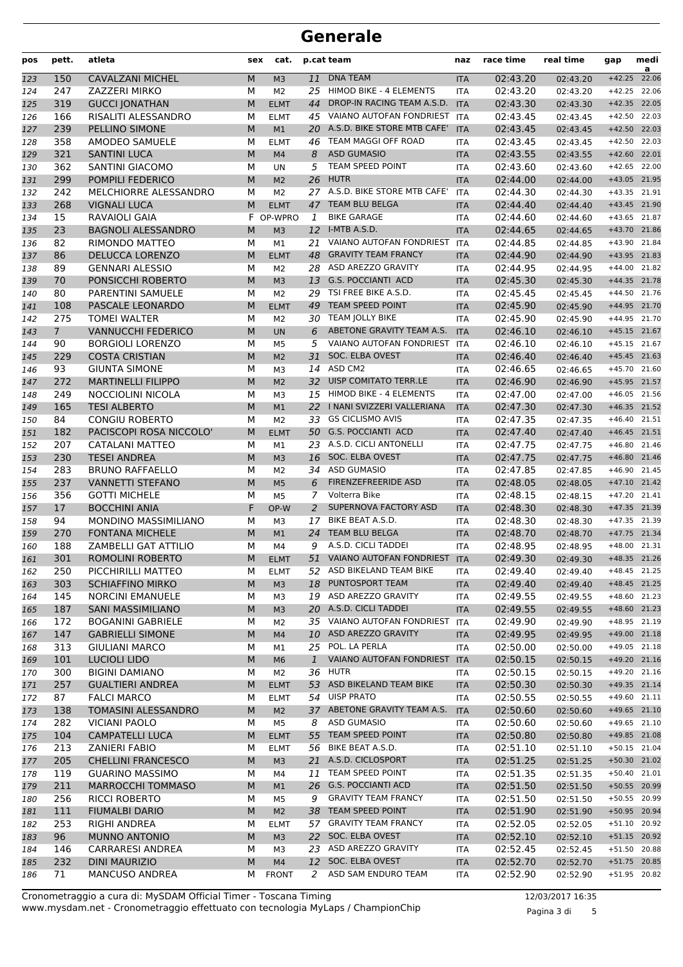| pos        | pett.          | atleta                                              | sex    | cat.                 |              | p.cat team                                      | naz                      | race time            | real time            | gap                          | medi<br>a |
|------------|----------------|-----------------------------------------------------|--------|----------------------|--------------|-------------------------------------------------|--------------------------|----------------------|----------------------|------------------------------|-----------|
| 123        | 150            | <b>CAVALZANI MICHEL</b>                             | M      | M <sub>3</sub>       | 11           | <b>DNA TEAM</b>                                 | <b>ITA</b>               | 02:43.20             | 02:43.20             | $+42.25$                     | 22.06     |
| 124        | 247            | ZAZZERI MIRKO                                       | М      | M <sub>2</sub>       | 25           | HIMOD BIKE - 4 ELEMENTS                         | <b>ITA</b>               | 02:43.20             | 02:43.20             | $+42.25$                     | 22.06     |
| 125        | 319            | <b>GUCCI JONATHAN</b>                               | M      | <b>ELMT</b>          | 44           | DROP-IN RACING TEAM A.S.D.                      | <b>ITA</b>               | 02:43.30             | 02:43.30             | $+42.35$                     | 22.05     |
| 126        | 166            | RISALITI ALESSANDRO                                 | M      | <b>ELMT</b>          | 45           | VAIANO AUTOFAN FONDRIEST                        | <b>ITA</b>               | 02:43.45             | 02:43.45             | $+42.50$                     | 22.03     |
| 127        | 239            | PELLINO SIMONE                                      | M      | M1                   |              | 20 A.S.D. BIKE STORE MTB CAFE'                  | <b>ITA</b>               | 02:43.45             | 02:43.45             | $+42.50$                     | 22.03     |
| 128        | 358            | AMODEO SAMUELE                                      | М      | <b>ELMT</b>          | 46           | TEAM MAGGI OFF ROAD                             | <b>ITA</b>               | 02:43.45             | 02:43.45             | $+42.50$                     | 22.03     |
| 129        | 321            | <b>SANTINI LUCA</b>                                 | M      | M <sub>4</sub>       | 8            | <b>ASD GUMASIO</b>                              | <b>ITA</b>               | 02:43.55             | 02:43.55             | $+42.60$                     | 22.01     |
| 130        | 362            | <b>SANTINI GIACOMO</b>                              | М      | UN                   | 5            | TEAM SPEED POINT                                | <b>ITA</b>               | 02:43.60             | 02:43.60             | $+42.65$                     | 22.00     |
| 131        | 299            | POMPILI FEDERICO                                    | M      | M <sub>2</sub>       | 26           | <b>HUTR</b>                                     | <b>ITA</b>               | 02:44.00             | 02:44.00             | $+43.05$                     | 21.95     |
| 132        | 242            | MELCHIORRE ALESSANDRO                               | M      | M <sub>2</sub>       | 27           | A.S.D. BIKE STORE MTB CAFE'                     | <b>ITA</b>               | 02:44.30             | 02:44.30             | $+43.35$                     | 21.91     |
| 133        | 268            | <b>VIGNALI LUCA</b>                                 | M      | <b>ELMT</b>          | 47           | TEAM BLU BELGA                                  | <b>ITA</b>               | 02:44.40             | 02:44.40             | $+43.45$                     | 21.90     |
| 134        | 15             | RAVAIOLI GAIA                                       | F.     | OP-WPRO              | 1            | <b>BIKE GARAGE</b>                              | ITA                      | 02:44.60             | 02:44.60             | $+43.65$                     | 21.87     |
| 135        | 23             | <b>BAGNOLI ALESSANDRO</b>                           | M      | M <sub>3</sub>       | 12           | I-MTB A.S.D.                                    | <b>ITA</b>               | 02:44.65             | 02:44.65             | $+43.70$                     | 21.86     |
| 136        | 82             | RIMONDO MATTEO                                      | М      | M1                   | 21           | VAIANO AUTOFAN FONDRIEST                        | <b>ITA</b>               | 02:44.85             | 02:44.85             | $+43.90$                     | 21.84     |
| 137        | 86             | <b>DELUCCA LORENZO</b>                              | M      | <b>ELMT</b>          | 48           | <b>GRAVITY TEAM FRANCY</b>                      | <b>ITA</b>               | 02:44.90             | 02:44.90             | $+43.95$                     | 21.83     |
| 138        | 89             | <b>GENNARI ALESSIO</b>                              | M      | M <sub>2</sub>       | 28           | ASD AREZZO GRAVITY                              | <b>ITA</b>               | 02:44.95             | 02:44.95             | $+44.00$                     | 21.82     |
| 139        | 70             | PONSICCHI ROBERTO                                   | M      | M <sub>3</sub>       | 13           | <b>G.S. POCCIANTI ACD</b>                       | <b>ITA</b>               | 02:45.30             | 02:45.30             | $+44.35$                     | 21.78     |
| 140        | 80             | PARENTINI SAMUELE                                   | М      | M <sub>2</sub>       | 29           | TSI FREE BIKE A.S.D.                            | <b>ITA</b>               | 02:45.45             | 02:45.45             | $+44.50$                     | 21.76     |
| 141        | 108            | PASCALE LEONARDO                                    | M      | <b>ELMT</b>          | 49           | TEAM SPEED POINT                                | <b>ITA</b>               | 02:45.90             | 02:45.90             | $+44.95$                     | 21.70     |
| 142        | 275            | <b>TOMEI WALTER</b>                                 | М      | M <sub>2</sub>       |              | 30 TEAM JOLLY BIKE                              | <b>ITA</b>               | 02:45.90             | 02:45.90             | $+44.95$                     | 21.70     |
| 143        | $\overline{7}$ | <b>VANNUCCHI FEDERICO</b>                           | M      | <b>UN</b>            | 6            | ABETONE GRAVITY TEAM A.S.                       | <b>ITA</b>               | 02:46.10             | 02:46.10             | $+45.15$                     | 21.67     |
| 144        | 90             | <b>BORGIOLI LORENZO</b>                             | M      | M5                   | 5            | <b>VAIANO AUTOFAN FONDRIEST</b>                 | <b>ITA</b>               | 02:46.10             | 02:46.10             | $+45.15$                     | 21.67     |
| 145        | 229            | <b>COSTA CRISTIAN</b>                               | M      | M <sub>2</sub>       | 31           | <b>SOC. ELBA OVEST</b>                          | <b>ITA</b>               | 02:46.40             | 02:46.40             | $+45.45$                     | 21.63     |
| 146        | 93             | <b>GIUNTA SIMONE</b>                                | М      | M <sub>3</sub>       | 14           | ASD CM2                                         | <b>ITA</b>               | 02:46.65             | 02:46.65             | $+45.70$                     | 21.60     |
| 147        | 272            | <b>MARTINELLI FILIPPO</b>                           | M      | M <sub>2</sub>       | 32           | UISP COMITATO TERR.LE                           | <b>ITA</b>               | 02:46.90             | 02:46.90             | $+45.95$                     | 21.57     |
| 148        | 249            | NOCCIOLINI NICOLA                                   | М      | M3                   | 15           | HIMOD BIKE - 4 ELEMENTS                         | <b>ITA</b>               | 02:47.00             | 02:47.00             | $+46.05$                     | 21.56     |
| 149        | 165            | <b>TESI ALBERTO</b>                                 | M      | M1                   | 22           | I NANI SVIZZERI VALLERIANA                      | <b>ITA</b>               | 02:47.30             | 02:47.30             | $+46.35$                     | 21.52     |
| 150        | 84             | <b>CONGIU ROBERTO</b>                               | M      | M <sub>2</sub>       | 33           | <b>GS CICLISMO AVIS</b>                         | <b>ITA</b>               | 02:47.35             | 02:47.35             | $+46.40$                     | 21.51     |
| 151        | 182            | PACISCOPI ROSA NICCOLO'                             | M      | <b>ELMT</b>          |              | 50 G.S. POCCIANTI ACD                           | <b>ITA</b>               | 02:47.40             | 02:47.40             | $+46.45$                     | 21.51     |
| 152        | 207            | CATALANI MATTEO                                     | М      | M1                   |              | 23 A.S.D. CICLI ANTONELLI                       | <b>ITA</b>               | 02:47.75             | 02:47.75             | $+46.80$                     | 21.46     |
| 153        | 230            | <b>TESEI ANDREA</b>                                 | M      | M <sub>3</sub>       | 16           | SOC. ELBA OVEST                                 | <b>ITA</b>               | 02:47.75             | 02:47.75             | $+46.80$                     | 21.46     |
| 154        | 283            | <b>BRUNO RAFFAELLO</b>                              | М      | M <sub>2</sub>       | 34           | <b>ASD GUMASIO</b>                              | <b>ITA</b>               | 02:47.85             | 02:47.85             | $+46.90$                     | 21.45     |
| 155        | 237            | <b>VANNETTI STEFANO</b>                             | M      | M <sub>5</sub>       | 6            | <b>FIRENZEFREERIDE ASD</b>                      | <b>ITA</b>               | 02:48.05             | 02:48.05             | $+47.10$                     | 21.42     |
| 156        | 356            | <b>GOTTI MICHELE</b>                                | M      | M <sub>5</sub>       | 7            | Volterra Bike                                   | <b>ITA</b>               | 02:48.15             | 02:48.15             | $+47.20$                     | 21.41     |
| 157        | 17             | <b>BOCCHINI ANIA</b>                                | F      | OP-W                 | 2            | SUPERNOVA FACTORY ASD                           | <b>ITA</b>               | 02:48.30             | 02:48.30             | $+47.35$                     | 21.39     |
| 158        | 94             | MONDINO MASSIMILIANO                                | М      | M <sub>3</sub>       | 17           | BIKE BEAT A.S.D.                                | <b>ITA</b>               | 02:48.30             | 02:48.30             | $+47.35$                     | 21.39     |
| 159        | 270            | <b>FONTANA MICHELE</b>                              | M      | M1                   | 24           | TEAM BLU BELGA                                  | <b>ITA</b>               | 02:48.70             | 02:48.70             | $+47.75$                     | 21.34     |
| 160        | 188            | ZAMBELLI GAT ATTILIO                                | М      | M4                   | 9            | A.S.D. CICLI TADDEI                             | <b>ITA</b>               | 02:48.95             | 02:48.95             | $+48.00$                     | 21.31     |
| 161        | 301            | <b>ROMOLINI ROBERTO</b>                             | M      | <b>ELMT</b>          | 51           | VAIANO AUTOFAN FONDRIEST                        | <b>ITA</b>               | 02:49.30             | 02:49.30             | +48.35 21.26                 |           |
| 162        | 250            | PICCHIRILLI MATTEO                                  | М      | <b>ELMT</b>          |              | 52 ASD BIKELAND TEAM BIKE                       | ITA                      | 02:49.40             | 02:49.40             | $+48.45$ 21.25               |           |
| 163        | 303            | <b>SCHIAFFINO MIRKO</b>                             | M      | M <sub>3</sub>       |              | 18 PUNTOSPORT TEAM                              | <b>ITA</b>               | 02:49.40             | 02:49.40             | +48.45 21.25                 |           |
| 164        | 145            | <b>NORCINI EMANUELE</b>                             | м      | M3                   |              | 19 ASD AREZZO GRAVITY<br>20 A.S.D. CICLI TADDEI | <b>ITA</b>               | 02:49.55             | 02:49.55             | +48.60 21.23                 |           |
| 165        | 187            | <b>SANI MASSIMILIANO</b>                            | M      | M <sub>3</sub>       |              | 35 VAIANO AUTOFAN FONDRIEST ITA                 | <b>ITA</b>               | 02:49.55             | 02:49.55             | +48.60 21.23<br>+48.95 21.19 |           |
| 166        | 172            | <b>BOGANINI GABRIELE</b><br><b>GABRIELLI SIMONE</b> | М      | M2                   |              | 10 ASD AREZZO GRAVITY                           |                          | 02:49.90             | 02:49.90             | +49.00 21.18                 |           |
| 167        | 147<br>313     | <b>GIULIANI MARCO</b>                               | M<br>м | M <sub>4</sub>       | 25           | POL. LA PERLA                                   | <b>ITA</b>               | 02:49.95<br>02:50.00 | 02:49.95<br>02:50.00 | $+49.05$ 21.18               |           |
| 168        | 101            | <b>LUCIOLI LIDO</b>                                 | M      | М1                   | $\mathbf{1}$ | VAIANO AUTOFAN FONDRIEST                        | <b>ITA</b><br><b>ITA</b> | 02:50.15             | 02:50.15             | $+49.20$ 21.16               |           |
| 169        | 300            | <b>BIGINI DAMIANO</b>                               | М      | M <sub>6</sub><br>M2 |              | 36 HUTR                                         | ITA                      | 02:50.15             |                      | $+49.20$ 21.16               |           |
| 170<br>171 | 257            | <b>GUALTIERI ANDREA</b>                             | M      | <b>ELMT</b>          |              | 53 ASD BIKELAND TEAM BIKE                       | <b>ITA</b>               | 02:50.30             | 02:50.15<br>02:50.30 | +49.35 21.14                 |           |
| 172        | 87             | <b>FALCI MARCO</b>                                  | М      | <b>ELMT</b>          |              | 54 UISP PRATO                                   | ITA                      | 02:50.55             | 02:50.55             | $+49.60$ 21.11               |           |
| 173        | 138            | TOMASINI ALESSANDRO                                 | M      | M <sub>2</sub>       |              | 37 ABETONE GRAVITY TEAM A.S.                    | <b>ITA</b>               | 02:50.60             | 02:50.60             | $+49.65$ 21.10               |           |
| 174        | 282            | <b>VICIANI PAOLO</b>                                | м      | M5                   | 8            | <b>ASD GUMASIO</b>                              | <b>ITA</b>               | 02:50.60             | 02:50.60             | $+49.65$ 21.10               |           |
| 175        | 104            | <b>CAMPATELLI LUCA</b>                              | M      | <b>ELMT</b>          |              | 55 TEAM SPEED POINT                             | <b>ITA</b>               | 02:50.80             | 02:50.80             | +49.85 21.08                 |           |
| 176        | 213            | <b>ZANIERI FABIO</b>                                | М      | <b>ELMT</b>          |              | 56 BIKE BEAT A.S.D.                             | <b>ITA</b>               | 02:51.10             | 02:51.10             | $+50.15$ 21.04               |           |
| 177        | 205            | <b>CHELLINI FRANCESCO</b>                           | M      | M <sub>3</sub>       |              | 21 A.S.D. CICLOSPORT                            | <b>ITA</b>               | 02:51.25             | 02:51.25             | +50.30 21.02                 |           |
| 178        | 119            | <b>GUARINO MASSIMO</b>                              | М      | M4                   |              | 11 TEAM SPEED POINT                             | ITA                      | 02:51.35             | 02:51.35             | $+50.40$ 21.01               |           |
| 179        | 211            | <b>MARROCCHI TOMMASO</b>                            | M      | M1                   |              | 26 G.S. POCCIANTI ACD                           | <b>ITA</b>               | 02:51.50             | 02:51.50             | +50.55 20.99                 |           |
| 180        | 256            | <b>RICCI ROBERTO</b>                                | м      | M5                   | 9            | <b>GRAVITY TEAM FRANCY</b>                      | <b>ITA</b>               | 02:51.50             | 02:51.50             | +50.55 20.99                 |           |
| 181        | 111            | <b>FIUMALBI DARIO</b>                               | M      | M <sub>2</sub>       |              | 38 TEAM SPEED POINT                             | <b>ITA</b>               | 02:51.90             | 02:51.90             | +50.95 20.94                 |           |
| 182        | 253            | RIGHI ANDREA                                        | м      | <b>ELMT</b>          |              | 57 GRAVITY TEAM FRANCY                          | ITA                      | 02:52.05             | 02:52.05             | +51.10 20.92                 |           |
| 183        | 96             | MUNNO ANTONIO                                       | M      | M <sub>3</sub>       |              | 22 SOC. ELBA OVEST                              | <b>ITA</b>               | 02:52.10             | 02:52.10             | +51.15 20.92                 |           |
| 184        | 146            | <b>CARRARESI ANDREA</b>                             | М      | M3                   |              | 23 ASD AREZZO GRAVITY                           | ITA                      | 02:52.45             | 02:52.45             | $+51.50$                     | 20.88     |
| 185        | 232            | <b>DINI MAURIZIO</b>                                | M      | M <sub>4</sub>       |              | 12 SOC. ELBA OVEST                              | <b>ITA</b>               | 02:52.70             | 02:52.70             | $+51.75$                     | 20.85     |
| 186        | 71             | MANCUSO ANDREA                                      | м      | <b>FRONT</b>         | 2            | ASD SAM ENDURO TEAM                             | ITA                      | 02:52.90             | 02:52.90             | +51.95 20.82                 |           |
|            |                |                                                     |        |                      |              |                                                 |                          |                      |                      |                              |           |

www.mysdam.net - Cronometraggio effettuato con tecnologia MyLaps / ChampionChip Cronometraggio a cura di: MySDAM Official Timer - Toscana Timing 12/03/2017 16:35

Pagina 3 di 5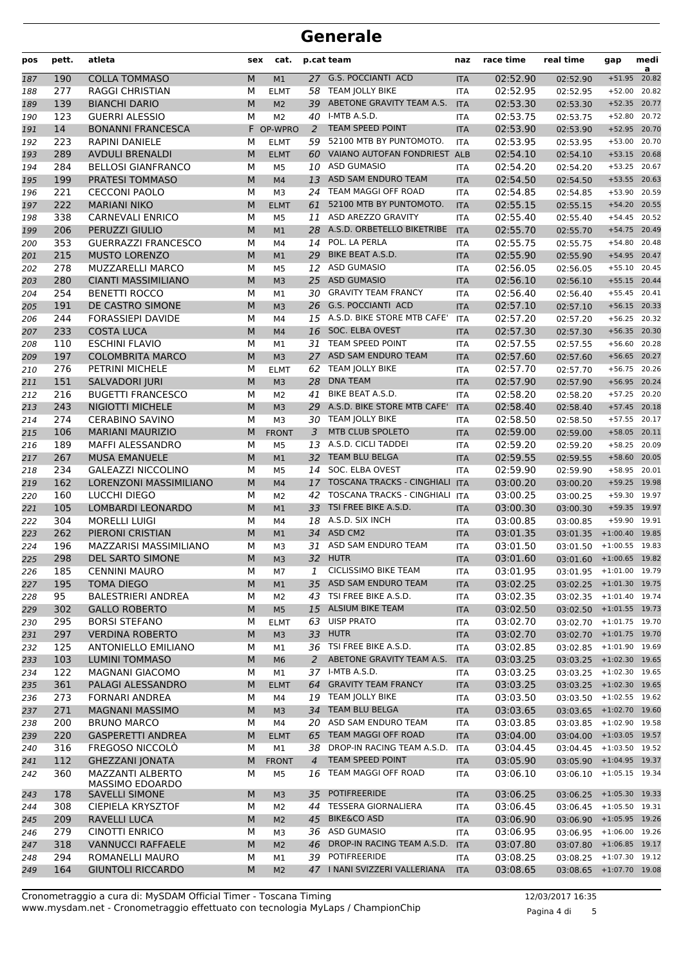| pos        | pett.      | atleta                                       | sex    | cat.                 |                 | p.cat team                                      | naz                      | race time            | real time                 | gap                  | medi<br>a      |
|------------|------------|----------------------------------------------|--------|----------------------|-----------------|-------------------------------------------------|--------------------------|----------------------|---------------------------|----------------------|----------------|
| 187        | 190        | <b>COLLA TOMMASO</b>                         | M      | M <sub>1</sub>       |                 | 27 G.S. POCCIANTI ACD                           | <b>ITA</b>               | 02:52.90             | 02:52.90                  | $+51.95$             | 20.82          |
| 188        | 277        | <b>RAGGI CHRISTIAN</b>                       | М      | <b>ELMT</b>          | 58              | <b>TEAM JOLLY BIKE</b>                          | <b>ITA</b>               | 02:52.95             | 02:52.95                  | $+52.00$             | 20.82          |
| 189        | 139        | <b>BIANCHI DARIO</b>                         | M      | M <sub>2</sub>       | 39              | ABETONE GRAVITY TEAM A.S.                       | <b>ITA</b>               | 02:53.30             | 02:53.30                  | $+52.35$             | 20.77          |
| 190        | 123        | <b>GUERRI ALESSIO</b>                        | M      | M <sub>2</sub>       | 40              | I-MTB A.S.D.                                    | <b>ITA</b>               | 02:53.75             | 02:53.75                  | $+52.80$             | 20.72          |
| 191        | 14         | <b>BONANNI FRANCESCA</b>                     |        | F OP-WPRO            | 2               | <b>TEAM SPEED POINT</b>                         | <b>ITA</b>               | 02:53.90             | 02:53.90                  | $+52.95$             | 20.70          |
| 192        | 223        | <b>RAPINI DANIELE</b>                        | M      | <b>ELMT</b>          | 59              | 52100 MTB BY PUNTOMOTO.                         | <b>ITA</b>               | 02:53.95             | 02:53.95                  | $+53.00$             | 20.70          |
| 193        | 289        | <b>AVDULI BRENALDI</b>                       | M      | <b>ELMT</b>          | 60              | VAIANO AUTOFAN FONDRIEST                        | <b>ALB</b>               | 02:54.10             | 02:54.10                  | $+53.15$             | 20.68          |
| 194        | 284        | <b>BELLOSI GIANFRANCO</b>                    | М      | M <sub>5</sub>       |                 | 10 ASD GUMASIO                                  | ITA                      | 02:54.20             | 02:54.20                  | $+53.25$             | 20.67          |
| 195        | 199        | <b>PRATESI TOMMASO</b>                       | M      | M4                   | 13              | ASD SAM ENDURO TEAM                             | <b>ITA</b>               | 02:54.50             | 02:54.50                  | $+53.55$             | 20.63          |
| 196        | 221        | <b>CECCONI PAOLO</b>                         | M      | M <sub>3</sub>       | 24              | TEAM MAGGI OFF ROAD                             | <b>ITA</b>               | 02:54.85             | 02:54.85                  | $+53.90$             | 20.59          |
| 197        | 222        | <b>MARIANI NIKO</b>                          | M      | <b>ELMT</b>          | 61              | 52100 MTB BY PUNTOMOTO.                         | <b>ITA</b>               | 02:55.15             | 02:55.15                  | $+54.20$             | 20.55          |
| 198        | 338        | <b>CARNEVALI ENRICO</b>                      | M      | M <sub>5</sub>       | 11              | ASD AREZZO GRAVITY                              | <b>ITA</b>               | 02:55.40             | 02:55.40                  | $+54.45$             | 20.52          |
| 199        | 206        | PERUZZI GIULIO                               | M      | M1                   |                 | 28 A.S.D. ORBETELLO BIKETRIBE                   | <b>ITA</b>               | 02:55.70             | 02:55.70                  | $+54.75$             | 20.49          |
| 200        | 353        | <b>GUERRAZZI FRANCESCO</b>                   | M      | M4                   | 14              | POL. LA PERLA                                   | <b>ITA</b>               | 02:55.75             | 02:55.75                  | $+54.80$             | 20.48          |
| 201        | 215        | <b>MUSTO LORENZO</b>                         | M      | M1                   | 29              | BIKE BEAT A.S.D.                                | <b>ITA</b>               | 02:55.90             | 02:55.90                  | $+54.95$             | 20.47          |
| 202        | 278        | <b>MUZZARELLI MARCO</b>                      | M      | M <sub>5</sub>       | 12              | <b>ASD GUMASIO</b>                              | <b>ITA</b>               | 02:56.05             | 02:56.05                  | $+55.10$             | 20.45          |
| 203        | 280        | <b>CIANTI MASSIMILIANO</b>                   | M      | M <sub>3</sub>       | 25              | <b>ASD GUMASIO</b>                              | <b>ITA</b>               | 02:56.10             | 02:56.10                  | $+55.15$             | 20.44          |
| 204        | 254        | <b>BENETTI ROCCO</b>                         | М      | M1                   |                 | 30 GRAVITY TEAM FRANCY<br>26 G.S. POCCIANTI ACD | <b>ITA</b>               | 02:56.40             | 02:56.40                  | $+55.45$<br>$+56.15$ | 20.41<br>20.33 |
| 205        | 191<br>244 | DE CASTRO SIMONE<br><b>FORASSIEPI DAVIDE</b> | M<br>M | M <sub>3</sub>       |                 | 15 A.S.D. BIKE STORE MTB CAFE'                  | <b>ITA</b>               | 02:57.10<br>02:57.20 | 02:57.10                  |                      | 20.32          |
| 206        | 233        | <b>COSTA LUCA</b>                            | M      | M4                   | 16              | <b>SOC. ELBA OVEST</b>                          | <b>ITA</b>               | 02:57.30             | 02:57.20                  | $+56.25$<br>$+56.35$ | 20.30          |
| 207        | 110        | <b>ESCHINI FLAVIO</b>                        | M      | M <sub>4</sub>       | 31              | <b>TEAM SPEED POINT</b>                         | <b>ITA</b><br><b>ITA</b> | 02:57.55             | 02:57.30                  | $+56.60$             | 20.28          |
| 208<br>209 | 197        | <b>COLOMBRITA MARCO</b>                      | M      | M1<br>M <sub>3</sub> | 27              | ASD SAM ENDURO TEAM                             | <b>ITA</b>               | 02:57.60             | 02:57.55<br>02:57.60      | $+56.65$             | 20.27          |
| 210        | 276        | PETRINI MICHELE                              | М      | <b>ELMT</b>          | 62              | <b>TEAM JOLLY BIKE</b>                          | <b>ITA</b>               | 02:57.70             | 02:57.70                  | $+56.75$             | 20.26          |
| 211        | 151        | <b>SALVADORI JURI</b>                        | M      | M <sub>3</sub>       | 28              | <b>DNA TEAM</b>                                 | <b>ITA</b>               | 02:57.90             | 02:57.90                  | $+56.95$             | 20.24          |
| 212        | 216        | <b>BUGETTI FRANCESCO</b>                     | M      | M <sub>2</sub>       | 41              | BIKE BEAT A.S.D.                                | <b>ITA</b>               | 02:58.20             | 02:58.20                  | $+57.25$             | 20.20          |
| 213        | 243        | NIGIOTTI MICHELE                             | M      | M <sub>3</sub>       | 29              | A.S.D. BIKE STORE MTB CAFE'                     | <b>ITA</b>               | 02:58.40             | 02:58.40                  | $+57.45$             | 20.18          |
| 214        | 274        | <b>CERABINO SAVINO</b>                       | M      | M <sub>3</sub>       | 30              | <b>TEAM JOLLY BIKE</b>                          | <b>ITA</b>               | 02:58.50             | 02:58.50                  | $+57.55$             | 20.17          |
| 215        | 106        | <b>MARIANI MAURIZIO</b>                      | M      | <b>FRONT</b>         | 3               | MTB CLUB SPOLETO                                | <b>ITA</b>               | 02:59.00             | 02:59.00                  | $+58.05$             | 20.11          |
| 216        | 189        | MAFFI ALESSANDRO                             | М      | M <sub>5</sub>       |                 | 13 A.S.D. CICLI TADDEI                          | <b>ITA</b>               | 02:59.20             | 02:59.20                  | $+58.25$             | 20.09          |
| 217        | 267        | <b>MUSA EMANUELE</b>                         | M      | M1                   | 32 <sup>2</sup> | TEAM BLU BELGA                                  | <b>ITA</b>               | 02:59.55             | 02:59.55                  | $+58.60$             | 20.05          |
| 218        | 234        | <b>GALEAZZI NICCOLINO</b>                    | M      | M <sub>5</sub>       | 14              | SOC. ELBA OVEST                                 | <b>ITA</b>               | 02:59.90             | 02:59.90                  | $+58.95$             | 20.01          |
| 219        | 162        | <b>LORENZONI MASSIMILIANO</b>                | M      | M <sub>4</sub>       | 17              | <b>TOSCANA TRACKS - CINGHIALI</b>               | <b>ITA</b>               | 03:00.20             | 03:00.20                  | $+59.25$             | 19.98          |
| 220        | 160        | LUCCHI DIEGO                                 | M      | M <sub>2</sub>       | 42              | <b>TOSCANA TRACKS - CINGHIALI</b>               | <b>ITA</b>               | 03:00.25             | 03:00.25                  | +59.30 19.97         |                |
| 221        | 105        | LOMBARDI LEONARDO                            | M      | M1                   | 33              | TSI FREE BIKE A.S.D.                            | <b>ITA</b>               | 03:00.30             | 03:00.30                  | $+59.35$             | 19.97          |
| 222        | 304        | <b>MORELLI LUIGI</b>                         | M      | M4                   |                 | 18 A.S.D. SIX INCH                              | <b>ITA</b>               | 03:00.85             | 03:00.85                  | $+59.90$             | 19.91          |
| 223        | 262        | PIERONI CRISTIAN                             | M      | M1                   |                 | 34 ASD CM2                                      | <b>ITA</b>               | 03:01.35             | 03:01.35                  | $+1:00.40$           | 19.85          |
| 224        | 196        | MAZZARISI MASSIMILIANO                       | М      | M3                   | 31              | ASD SAM ENDURO TEAM                             | <b>ITA</b>               | 03:01.50             | 03:01.50                  | $+1:00.55$ 19.83     |                |
| 225        | 298        | <b>DEL SARTO SIMONE</b>                      | M      | M <sub>3</sub>       |                 | 32 HUTR                                         | <b>ITA</b>               | 03:01.60             | $03:01.60$ +1:00.65 19.82 |                      |                |
| 226        | 185        | <b>CENNINI MAURO</b>                         | М      | M7                   | 1               | <b>CICLISSIMO BIKE TEAM</b>                     | <b>ITA</b>               | 03:01.95             | 03:01.95 +1:01.00 19.79   |                      |                |
| 227        | 195        | <b>TOMA DIEGO</b>                            | M      | M1                   | 35              | ASD SAM ENDURO TEAM                             | <b>ITA</b>               | 03:02.25             | 03:02.25 +1:01.30 19.75   |                      |                |
| 228        | 95         | <b>BALESTRIERI ANDREA</b>                    | М      | M <sub>2</sub>       |                 | 43 TSI FREE BIKE A.S.D.                         | ITA                      | 03:02.35             | 03:02.35 +1:01.40 19.74   |                      |                |
| 229        | 302        | <b>GALLO ROBERTO</b>                         | M      | M <sub>5</sub>       |                 | 15 ALSIUM BIKE TEAM                             | <b>ITA</b>               | 03:02.50             | 03:02.50 +1:01.55 19.73   |                      |                |
| 230        | 295        | <b>BORSI STEFANO</b>                         | М      | <b>ELMT</b>          |                 | 63 UISP PRATO                                   | ITA                      | 03:02.70             | $03:02.70$ +1:01.75 19.70 |                      |                |
| 231        | 297        | <b>VERDINA ROBERTO</b>                       | M      | M <sub>3</sub>       |                 | 33 HUTR                                         | <b>ITA</b>               | 03:02.70             | 03:02.70 +1:01.75 19.70   |                      |                |
| 232        | 125        | <b>ANTONIELLO EMILIANO</b>                   | М      | М1                   |                 | 36 TSI FREE BIKE A.S.D.                         | ITA                      | 03:02.85             | 03:02.85                  | $+1:01.90$ 19.69     |                |
| 233        | 103        | <b>LUMINI TOMMASO</b>                        | M      | M <sub>6</sub>       | 2               | ABETONE GRAVITY TEAM A.S.                       | <b>ITA</b>               | 03:03.25             | 03:03.25 +1:02.30 19.65   |                      |                |
| 234        | 122        | MAGNANI GIACOMO                              | М      | M1                   |                 | 37 I-MTB A.S.D.                                 | ITA                      | 03:03.25             | $03:03.25$ +1:02.30 19.65 |                      |                |
| 235        | 361        | PALAGI ALESSANDRO                            | M      | <b>ELMT</b>          | 64              | <b>GRAVITY TEAM FRANCY</b>                      | <b>ITA</b>               | 03:03.25             | 03:03.25 +1:02.30 19.65   |                      |                |
| 236        | 273        | <b>FORNARI ANDREA</b>                        | М      | M4                   |                 | 19 TEAM JOLLY BIKE                              | ITA                      | 03:03.50             | $03:03.50$ +1:02.55 19.62 |                      |                |
| 237        | 271        | <b>MAGNANI MASSIMO</b>                       | М      | M <sub>3</sub>       | 34              | TEAM BLU BELGA                                  | <b>ITA</b>               | 03:03.65             | 03:03.65 +1:02.70 19.60   |                      |                |
| 238        | 200        | <b>BRUNO MARCO</b>                           | М      | M4                   | 20              | ASD SAM ENDURO TEAM                             | ITA                      | 03:03.85             | 03:03.85                  | $+1:02.90$ 19.58     |                |
| 239        | 220        | <b>GASPERETTI ANDREA</b>                     | M      | <b>ELMT</b>          | 65              | TEAM MAGGI OFF ROAD                             | <b>ITA</b>               | 03:04.00             | 03:04.00 +1:03.05 19.57   |                      |                |
| 240        | 316        | FREGOSO NICCOLO                              | М      | M1                   |                 | 38 DROP-IN RACING TEAM A.S.D.                   | <b>ITA</b>               | 03:04.45             | 03:04.45 +1:03.50 19.52   |                      |                |
| 241        | 112        | <b>GHEZZANI JONATA</b><br>MAZZANTI ALBERTO   | M      | <b>FRONT</b>         | $\overline{4}$  | TEAM SPEED POINT<br>TEAM MAGGI OFF ROAD         | <b>ITA</b>               | 03:05.90             | 03:05.90 +1:04.95 19.37   |                      |                |
| 242        | 360        | MASSIMO EDOARDO                              | М      | M <sub>5</sub>       | 16              |                                                 | ITA                      | 03:06.10             | 03:06.10                  | $+1:05.15$ 19.34     |                |
| 243        | 178        | <b>SAVELLI SIMONE</b>                        | М      | M <sub>3</sub>       | 35              | <b>POTIFREERIDE</b>                             | <b>ITA</b>               | 03:06.25             | 03:06.25 +1:05.30 19.33   |                      |                |
| 244        | 308        | CIEPIELA KRYSZTOF                            | М      | M <sub>2</sub>       | 44              | <b>TESSERA GIORNALIERA</b>                      | <b>ITA</b>               | 03:06.45             | $03:06.45$ +1:05.50 19.31 |                      |                |
| 245        | 209        | RAVELLI LUCA                                 | M      | M <sub>2</sub>       | 45              | <b>BIKE&amp;CO ASD</b>                          | <b>ITA</b>               | 03:06.90             | 03:06.90 +1:05.95 19.26   |                      |                |
| 246        | 279        | CINOTTI ENRICO                               | М      | M3                   |                 | 36 ASD GUMASIO                                  | ITA                      | 03:06.95             | 03:06.95                  | $+1:06.00$ 19.26     |                |
| 247        | 318        | <b>VANNUCCI RAFFAELE</b>                     | M      | M <sub>2</sub>       | 46              | DROP-IN RACING TEAM A.S.D.                      | <b>ITA</b>               | 03:07.80             | 03:07.80 +1:06.85 19.17   |                      |                |
| 248        | 294        | ROMANELLI MAURO                              | М      | M1                   | 39              | POTIFREERIDE                                    | ITA                      | 03:08.25             | $03:08.25$ +1:07.30 19.12 |                      |                |
| 249        | 164        | <b>GIUNTOLI RICCARDO</b>                     | M      | M <sub>2</sub>       |                 | 47   NANI SVIZZERI VALLERIANA                   | <b>ITA</b>               | 03:08.65             | 03:08.65 +1:07.70 19.08   |                      |                |

Pagina 4 di 5